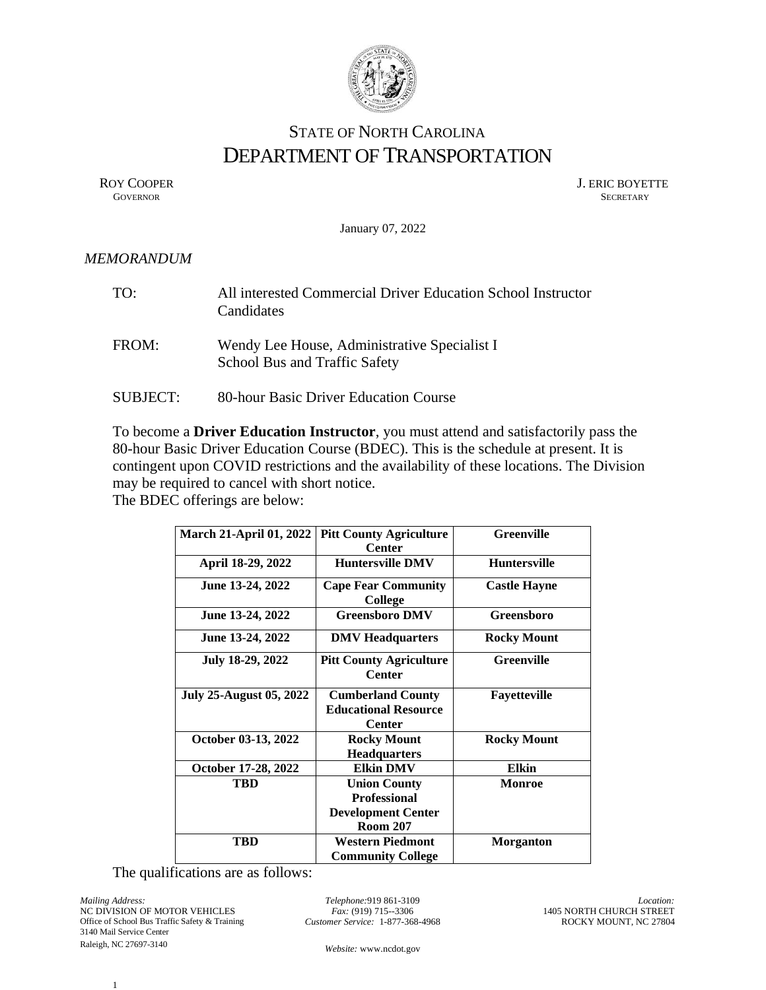

## STATE OF NORTH CAROLINA DEPARTMENT OF TRANSPORTATION

ROY COOPER J. ERIC BOYETTE GOVERNOR SECRETARY SECRETARY **GOVERNOR** SECRETARY

January 07, 2022

## *MEMORANDUM*

| TO:             | All interested Commercial Driver Education School Instructor<br>Candidates    |
|-----------------|-------------------------------------------------------------------------------|
| FROM:           | Wendy Lee House, Administrative Specialist I<br>School Bus and Traffic Safety |
| <b>SUBJECT:</b> | 80-hour Basic Driver Education Course                                         |

To become a **Driver Education Instructor**, you must attend and satisfactorily pass the 80-hour Basic Driver Education Course (BDEC). This is the schedule at present. It is contingent upon COVID restrictions and the availability of these locations. The Division may be required to cancel with short notice.

The BDEC offerings are below:

| <b>March 21-April 01, 2022</b> | <b>Pitt County Agriculture</b>                      | <b>Greenville</b>   |
|--------------------------------|-----------------------------------------------------|---------------------|
|                                | <b>Center</b>                                       |                     |
| April 18-29, 2022              | <b>Huntersville DMV</b>                             | <b>Huntersville</b> |
| June 13-24, 2022               | <b>Cape Fear Community</b><br>College               | <b>Castle Hayne</b> |
| June 13-24, 2022               | <b>Greensboro DMV</b>                               | Greensboro          |
| June 13-24, 2022               | <b>DMV</b> Headquarters                             | <b>Rocky Mount</b>  |
| July 18-29, 2022               | <b>Pitt County Agriculture</b><br><b>Center</b>     | <b>Greenville</b>   |
| <b>July 25-August 05, 2022</b> | <b>Cumberland County</b>                            | Fayetteville        |
|                                | <b>Educational Resource</b>                         |                     |
|                                | <b>Center</b>                                       |                     |
| October 03-13, 2022            | <b>Rocky Mount</b>                                  | <b>Rocky Mount</b>  |
|                                | <b>Headquarters</b>                                 |                     |
| October 17-28, 2022            | <b>Elkin DMV</b>                                    | Elkin               |
| <b>TBD</b>                     | <b>Union County</b>                                 | Monroe              |
|                                | <b>Professional</b>                                 |                     |
|                                | <b>Development Center</b>                           |                     |
|                                | <b>Room 207</b>                                     |                     |
| TBD                            | <b>Western Piedmont</b><br><b>Community College</b> | <b>Morganton</b>    |

The qualifications are as follows:

*Mailing Address:* NC DIVISION OF MOTOR VEHICLES Office of School Bus Traffic Safety & Training 3140 Mail Service Center Raleigh, NC 27697-3140

*Telephone:*919 861-3109 *Fax:* (919) 715--3306 *Customer Service:* 1-877-368-4968

*Location:* 1405 NORTH CHURCH STREET ROCKY MOUNT, NC 27804

*Website:* [www.ncdot.gov](http://www.ncdot.gov/)